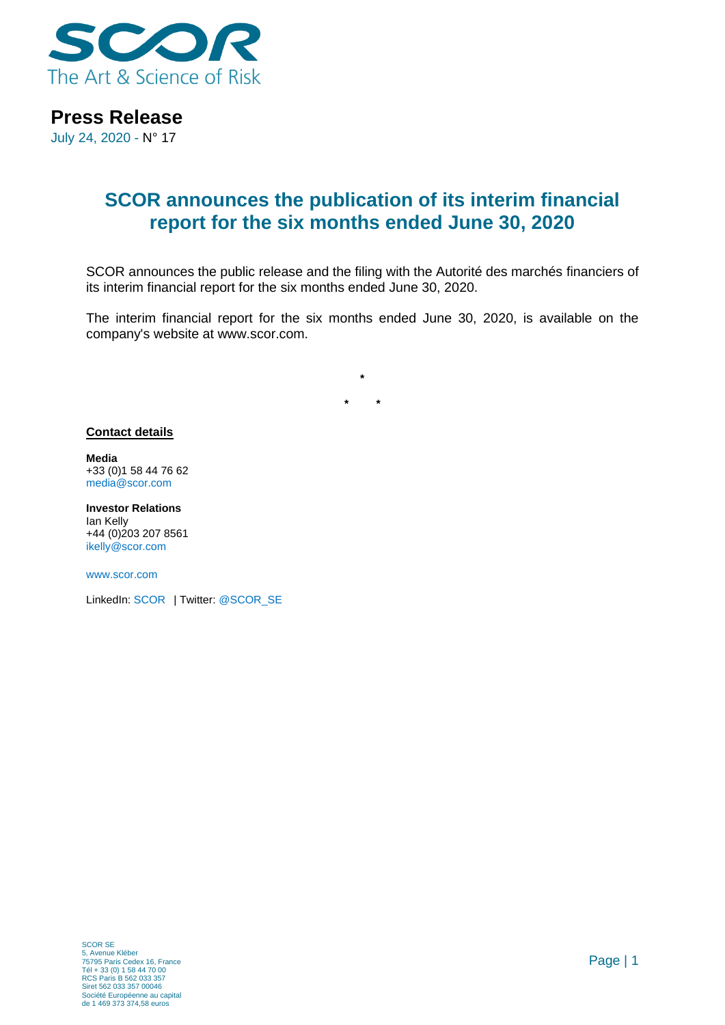

### **Press Release**

July 24, 2020 - N° 17

## **SCOR announces the publication of its interim financial report for the six months ended June 30, 2020**

SCOR announces the public release and the filing with the Autorité des marchés financiers of its interim financial report for the six months ended June 30, 2020.

The interim financial report for the six months ended June 30, 2020, is available on the company's website at www.scor.com.

**\* \***

**\***

### **Contact details**

**Media** +33 (0)1 58 44 76 62 [media@scor.com](mailto:media@scor.com)

**Investor Relations** Ian Kelly +44 (0)203 207 8561 [ikelly@scor.com](mailto:ikelly@scor.com)

[www.scor.com](http://www.scor.com/en/)

LinkedIn: [SCOR](https://www.linkedin.com/company/11543) | Twitter[: @SCOR\\_SE](https://twitter.com/SCOR_SE)